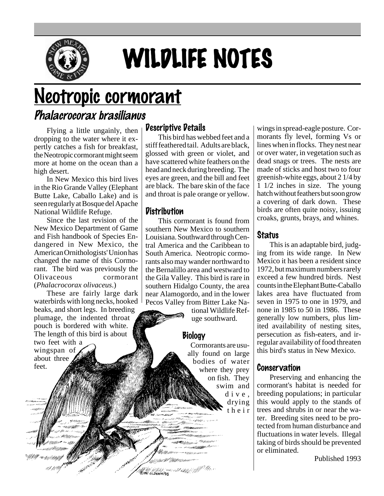

# WILDLIFE NOTES

## Neotropic cormorant

### Phalacrocorax brasilianus

Flying a little ungainly, then dropping to the water where it expertly catches a fish for breakfast, the Neotropic cormorant might seem more at home on the ocean than a high desert.

In New Mexico this bird lives in the Rio Grande Valley (Elephant Butte Lake, Caballo Lake) and is seen regularly at Bosque del Apache National Wildlife Refuge.

Since the last revision of the New Mexico Department of Game and Fish handbook of Species Endangered in New Mexico, the American Ornithologists' Union has changed the name of this Cormorant. The bird was previously the Olivaceous cormorant (*Phalacrocorax olivaceus*.)

These are fairly large dark waterbirds with long necks, hooked beaks, and short legs. In breeding plumage, the indented throat pouch is bordered with white. The length of this bird is about two feet with a wingspan of about three feet.

#### Descriptive Details

This bird has webbed feet and a stiff feathered tail. Adults are black, glossed with green or violet, and have scattered white feathers on the head and neck during breeding. The eyes are green, and the bill and feet are black. The bare skin of the face and throat is pale orange or yellow.

#### Distribution

This cormorant is found from southern New Mexico to southern Louisiana. Southward through Central America and the Caribbean to South America. Neotropic cormorants also may wander northward to the Bernalillo area and westward to the Gila Valley. This bird is rare in southern Hidalgo County, the area near Alamogordo, and in the lower Pecos Valley from Bitter Lake Na-

> tional Wildlife Refuge southward.

#### **Biology**

Alle Maria - www.allahyjay//<sup>/////</sup>///.i<br>Crit oloham93

Cormorants are usually found on large bodies of water where they prey on fish. They swim and dive, drying their

wings in spread-eagle posture. Cormorants fly level, forming Vs or lines when in flocks. They nest near or over water, in vegetation such as dead snags or trees. The nests are made of sticks and host two to four greenish-white eggs, about 2 1/4 by 1 1/2 inches in size. The young hatch without feathers but soon grow a covering of dark down. These birds are often quite noisy, issuing croaks, grunts, brays, and whines.

#### Status

This is an adaptable bird, judging from its wide range. In New Mexico it has been a resident since 1972, but maximum numbers rarely exceed a few hundred birds. Nest counts in the Elephant Butte-Caballo lakes area have fluctuated from seven in 1975 to one in 1979, and none in 1985 to 50 in 1986. These generally low numbers, plus limited availability of nesting sites, persecution as fish-eaters, and irregular availability of food threaten this bird's status in New Mexico.

#### Conservation

Preserving and enhancing the cormorant's habitat is needed for breeding populations; in particular this would apply to the stands of trees and shrubs in or near the water. Breeding sites need to be protected from human disturbance and fluctuations in water levels. Illegal taking of birds should be prevented or eliminated.

Published 1993